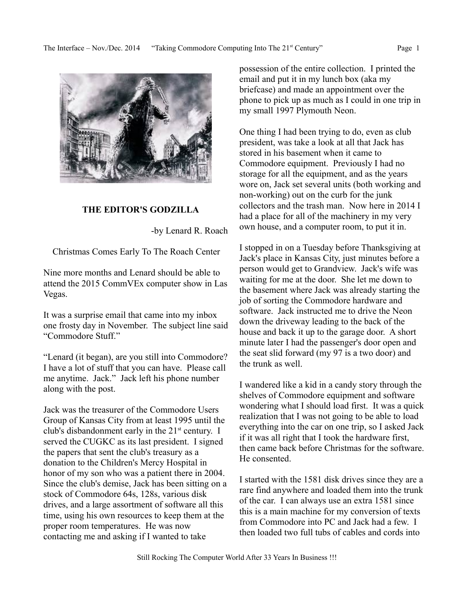

# **THE EDITOR'S GODZILLA**

-by Lenard R. Roach

Christmas Comes Early To The Roach Center

Nine more months and Lenard should be able to attend the 2015 CommVEx computer show in Las Vegas.

It was a surprise email that came into my inbox one frosty day in November. The subject line said "Commodore Stuff."

"Lenard (it began), are you still into Commodore? I have a lot of stuff that you can have. Please call me anytime. Jack." Jack left his phone number along with the post.

Jack was the treasurer of the Commodore Users Group of Kansas City from at least 1995 until the club's disbandonment early in the  $21<sup>st</sup>$  century. I served the CUGKC as its last president. I signed the papers that sent the club's treasury as a donation to the Children's Mercy Hospital in honor of my son who was a patient there in 2004. Since the club's demise, Jack has been sitting on a stock of Commodore 64s, 128s, various disk drives, and a large assortment of software all this time, using his own resources to keep them at the proper room temperatures. He was now contacting me and asking if I wanted to take

possession of the entire collection. I printed the email and put it in my lunch box (aka my briefcase) and made an appointment over the phone to pick up as much as I could in one trip in my small 1997 Plymouth Neon.

One thing I had been trying to do, even as club president, was take a look at all that Jack has stored in his basement when it came to Commodore equipment. Previously I had no storage for all the equipment, and as the years wore on, Jack set several units (both working and non-working) out on the curb for the junk collectors and the trash man. Now here in 2014 I had a place for all of the machinery in my very own house, and a computer room, to put it in.

I stopped in on a Tuesday before Thanksgiving at Jack's place in Kansas City, just minutes before a person would get to Grandview. Jack's wife was waiting for me at the door. She let me down to the basement where Jack was already starting the job of sorting the Commodore hardware and software. Jack instructed me to drive the Neon down the driveway leading to the back of the house and back it up to the garage door. A short minute later I had the passenger's door open and the seat slid forward (my 97 is a two door) and the trunk as well.

I wandered like a kid in a candy story through the shelves of Commodore equipment and software wondering what I should load first. It was a quick realization that I was not going to be able to load everything into the car on one trip, so I asked Jack if it was all right that I took the hardware first, then came back before Christmas for the software. He consented.

I started with the 1581 disk drives since they are a rare find anywhere and loaded them into the trunk of the car. I can always use an extra 1581 since this is a main machine for my conversion of texts from Commodore into PC and Jack had a few. I then loaded two full tubs of cables and cords into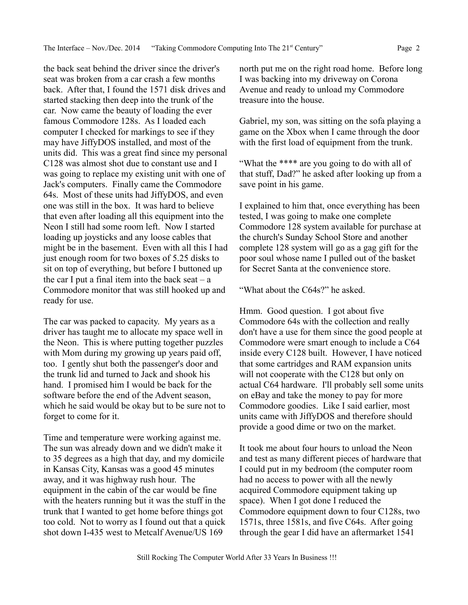the back seat behind the driver since the driver's seat was broken from a car crash a few months back. After that, I found the 1571 disk drives and started stacking then deep into the trunk of the car. Now came the beauty of loading the ever famous Commodore 128s. As I loaded each computer I checked for markings to see if they may have JiffyDOS installed, and most of the units did. This was a great find since my personal C128 was almost shot due to constant use and I was going to replace my existing unit with one of Jack's computers. Finally came the Commodore 64s. Most of these units had JiffyDOS, and even one was still in the box. It was hard to believe that even after loading all this equipment into the Neon I still had some room left. Now I started loading up joysticks and any loose cables that might be in the basement. Even with all this I had just enough room for two boxes of 5.25 disks to sit on top of everything, but before I buttoned up the car I put a final item into the back seat  $-$  a Commodore monitor that was still hooked up and

The car was packed to capacity. My years as a driver has taught me to allocate my space well in the Neon. This is where putting together puzzles with Mom during my growing up years paid off, too. I gently shut both the passenger's door and the trunk lid and turned to Jack and shook his hand. I promised him I would be back for the software before the end of the Advent season, which he said would be okay but to be sure not to forget to come for it.

ready for use.

Time and temperature were working against me. The sun was already down and we didn't make it to 35 degrees as a high that day, and my domicile in Kansas City, Kansas was a good 45 minutes away, and it was highway rush hour. The equipment in the cabin of the car would be fine with the heaters running but it was the stuff in the trunk that I wanted to get home before things got too cold. Not to worry as I found out that a quick shot down I-435 west to Metcalf Avenue/US 169

north put me on the right road home. Before long I was backing into my driveway on Corona Avenue and ready to unload my Commodore treasure into the house.

Gabriel, my son, was sitting on the sofa playing a game on the Xbox when I came through the door with the first load of equipment from the trunk.

"What the \*\*\*\* are you going to do with all of that stuff, Dad?" he asked after looking up from a save point in his game.

I explained to him that, once everything has been tested, I was going to make one complete Commodore 128 system available for purchase at the church's Sunday School Store and another complete 128 system will go as a gag gift for the poor soul whose name I pulled out of the basket for Secret Santa at the convenience store.

"What about the C64s?" he asked.

Hmm. Good question. I got about five Commodore 64s with the collection and really don't have a use for them since the good people at Commodore were smart enough to include a C64 inside every C128 built. However, I have noticed that some cartridges and RAM expansion units will not cooperate with the C128 but only on actual C64 hardware. I'll probably sell some units on eBay and take the money to pay for more Commodore goodies. Like I said earlier, most units came with JiffyDOS and therefore should provide a good dime or two on the market.

It took me about four hours to unload the Neon and test as many different pieces of hardware that I could put in my bedroom (the computer room had no access to power with all the newly acquired Commodore equipment taking up space). When I got done I reduced the Commodore equipment down to four C128s, two 1571s, three 1581s, and five C64s. After going through the gear I did have an aftermarket 1541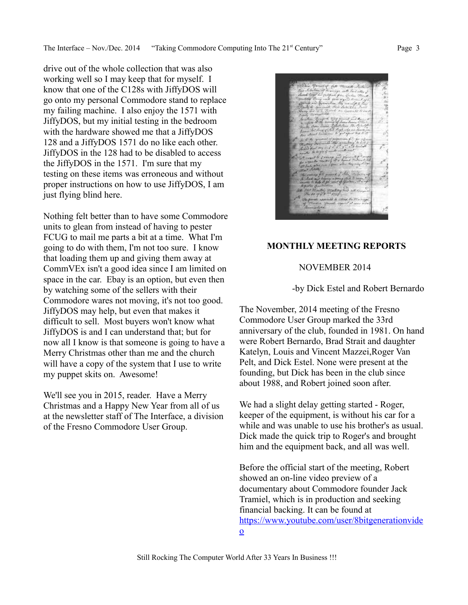The Interface – Nov./Dec. 2014 "Taking Commodore Computing Into The 21<sup>st</sup> Century" Page 3

drive out of the whole collection that was also working well so I may keep that for myself. I know that one of the C128s with JiffyDOS will go onto my personal Commodore stand to replace my failing machine. I also enjoy the 1571 with JiffyDOS, but my initial testing in the bedroom with the hardware showed me that a JiffyDOS 128 and a JiffyDOS 1571 do no like each other. JiffyDOS in the 128 had to be disabled to access the JiffyDOS in the 1571. I'm sure that my testing on these items was erroneous and without proper instructions on how to use JiffyDOS, I am just flying blind here.

Nothing felt better than to have some Commodore units to glean from instead of having to pester FCUG to mail me parts a bit at a time. What I'm going to do with them, I'm not too sure. I know that loading them up and giving them away at CommVEx isn't a good idea since I am limited on space in the car. Ebay is an option, but even then by watching some of the sellers with their Commodore wares not moving, it's not too good. JiffyDOS may help, but even that makes it difficult to sell. Most buyers won't know what JiffyDOS is and I can understand that; but for now all I know is that someone is going to have a Merry Christmas other than me and the church will have a copy of the system that I use to write my puppet skits on. Awesome!

We'll see you in 2015, reader. Have a Merry Christmas and a Happy New Year from all of us at the newsletter staff of The Interface, a division of the Fresno Commodore User Group.

#### **MONTHLY MEETING REPORTS**

#### NOVEMBER 2014

#### -by Dick Estel and Robert Bernardo

The November, 2014 meeting of the Fresno Commodore User Group marked the 33rd anniversary of the club, founded in 1981. On hand were Robert Bernardo, Brad Strait and daughter Katelyn, Louis and Vincent Mazzei,Roger Van Pelt, and Dick Estel. None were present at the founding, but Dick has been in the club since about 1988, and Robert joined soon after.

We had a slight delay getting started - Roger, keeper of the equipment, is without his car for a while and was unable to use his brother's as usual. Dick made the quick trip to Roger's and brought him and the equipment back, and all was well.

Before the official start of the meeting, Robert showed an on-line video preview of a documentary about Commodore founder Jack Tramiel, which is in production and seeking financial backing. It can be found at [https://www.youtube.com/user/8bitgenerationvide](https://www.youtube.com/user/8bitgenerationvideo)  $\Omega$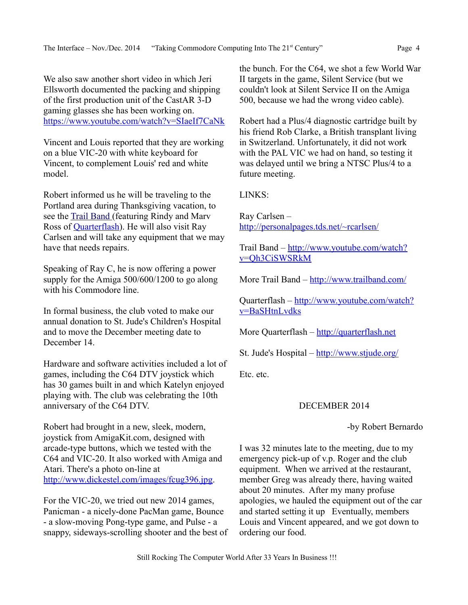We also saw another short video in which Jeri Ellsworth documented the packing and shipping of the first production unit of the CastAR 3-D gaming glasses she has been working on. <https://www.youtube.com/watch?v=SIaeIf7CaNk>

Vincent and Louis reported that they are working on a blue VIC-20 with white keyboard for Vincent, to complement Louis' red and white model.

Robert informed us he will be traveling to the Portland area during Thanksgiving vacation, to see the [Trail Band](http://www.youtube.com/watch?v=Qh3CiSWSRkM) (featuring Rindy and Marv Ross of **Quarterflash**). He will also visit Ray Carlsen and will take any equipment that we may have that needs repairs.

Speaking of Ray C, he is now offering a power supply for the Amiga 500/600/1200 to go along with his Commodore line.

In formal business, the club voted to make our annual donation to St. Jude's Children's Hospital and to move the December meeting date to December 14

Hardware and software activities included a lot of games, including the C64 DTV joystick which has 30 games built in and which Katelyn enjoyed playing with. The club was celebrating the 10th anniversary of the C64 DTV.

Robert had brought in a new, sleek, modern, joystick from AmigaKit.com, designed with arcade-type buttons, which we tested with the C64 and VIC-20. It also worked with Amiga and Atari. There's a photo on-line at [http://www.dickestel.com/images/fcug396.jpg.](http://www.dickestel.com/images/fcug396.jpg)

For the VIC-20, we tried out new 2014 games, Panicman - a nicely-done PacMan game, Bounce - a slow-moving Pong-type game, and Pulse - a snappy, sideways-scrolling shooter and the best of the bunch. For the C64, we shot a few World War II targets in the game, Silent Service (but we couldn't look at Silent Service II on the Amiga 500, because we had the wrong video cable).

Robert had a Plus/4 diagnostic cartridge built by his friend Rob Clarke, a British transplant living in Switzerland. Unfortunately, it did not work with the PAL VIC we had on hand, so testing it was delayed until we bring a NTSC Plus/4 to a future meeting.

LINKS:

Ray Carlsen – <http://personalpages.tds.net/~rcarlsen/>

Trail Band – [http://www.youtube.com/watch?](http://www.youtube.com/watch?v=Qh3CiSWSRkM) [v=Qh3CiSWSRkM](http://www.youtube.com/watch?v=Qh3CiSWSRkM)

More Trail Band –<http://www.trailband.com/>

Quarterflash – [http://www.youtube.com/watch?](http://www.youtube.com/watch?v=BaSHtnLvdks) [v=BaSHtnLvdks](http://www.youtube.com/watch?v=BaSHtnLvdks)

More Quarterflash – [http://quarterflash.net](http://quarterflash.net/)

St. Jude's Hospital –<http://www.stjude.org/>

Etc. etc.

# DECEMBER 2014

## -by Robert Bernardo

I was 32 minutes late to the meeting, due to my emergency pick-up of v.p. Roger and the club equipment. When we arrived at the restaurant, member Greg was already there, having waited about 20 minutes. After my many profuse apologies, we hauled the equipment out of the car and started setting it up Eventually, members Louis and Vincent appeared, and we got down to ordering our food.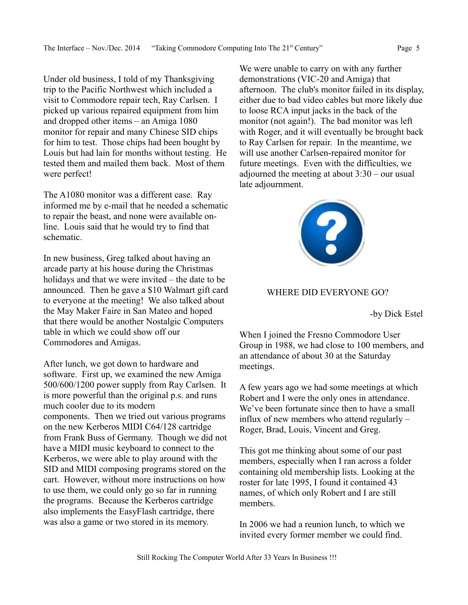Under old business, I told of my Thanksgiving trip to the Pacific Northwest which included a visit to Commodore repair tech, Ray Carlsen. I picked up various repaired equipment from him and dropped other items – an Amiga 1080 monitor for repair and many Chinese SID chips for him to test. Those chips had been bought by Louis but had lain for months without testing. He tested them and mailed them back. Most of them were perfect!

The A1080 monitor was a different case. Ray informed me by e-mail that he needed a schematic to repair the beast, and none were available online. Louis said that he would try to find that schematic.

In new business, Greg talked about having an arcade party at his house during the Christmas holidays and that we were invited – the date to be announced. Then he gave a \$10 Walmart gift card to everyone at the meeting! We also talked about the May Maker Faire in San Mateo and hoped that there would be another Nostalgic Computers table in which we could show off our Commodores and Amigas.

After lunch, we got down to hardware and software. First up, we examined the new Amiga 500/600/1200 power supply from Ray Carlsen. It is more powerful than the original p.s. and runs much cooler due to its modern components. Then we tried out various programs on the new Kerberos MIDI C64/128 cartridge from Frank Buss of Germany. Though we did not have a MIDI music keyboard to connect to the Kerberos, we were able to play around with the SID and MIDI composing programs stored on the cart. However, without more instructions on how to use them, we could only go so far in running the programs. Because the Kerberos cartridge also implements the EasyFlash cartridge, there was also a game or two stored in its memory.

We were unable to carry on with any further demonstrations (VIC-20 and Amiga) that afternoon. The club's monitor failed in its display, either due to bad video cables but more likely due to loose RCA input jacks in the back of the monitor (not again!). The bad monitor was left with Roger, and it will eventually be brought back to Ray Carlsen for repair. In the meantime, we will use another Carlsen-repaired monitor for future meetings. Even with the difficulties, we adjourned the meeting at about 3:30 – our usual late adjournment.



#### WHERE DID EVERYONE GO?

-by Dick Estel

When I joined the Fresno Commodore User Group in 1988, we had close to 100 members, and an attendance of about 30 at the Saturday meetings.

A few years ago we had some meetings at which Robert and I were the only ones in attendance. We've been fortunate since then to have a small influx of new members who attend regularly – Roger, Brad, Louis, Vincent and Greg.

This got me thinking about some of our past members, especially when I ran across a folder containing old membership lists. Looking at the roster for late 1995, I found it contained 43 names, of which only Robert and I are still members.

In 2006 we had a reunion lunch, to which we invited every former member we could find.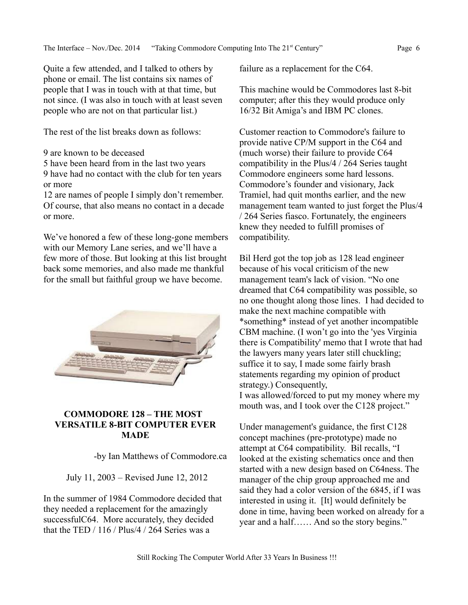Quite a few attended, and I talked to others by phone or email. The list contains six names of people that I was in touch with at that time, but not since. (I was also in touch with at least seven people who are not on that particular list.)

The rest of the list breaks down as follows:

9 are known to be deceased

5 have been heard from in the last two years

9 have had no contact with the club for ten years or more

12 are names of people I simply don't remember. Of course, that also means no contact in a decade or more.

We've honored a few of these long-gone members with our Memory Lane series, and we'll have a few more of those. But looking at this list brought back some memories, and also made me thankful for the small but faithful group we have become.



# **COMMODORE 128 – THE MOST VERSATILE 8-BIT COMPUTER EVER MADE**

-by Ian Matthews of Commodore.ca

July 11, 2003 – Revised June 12, 2012

In the summer of 1984 Commodore decided that they needed a replacement for the amazingly successfulC64. More accurately, they decided that the TED  $/ 116 /$  Plus/4  $/ 264$  Series was a

failure as a replacement for the C64.

This machine would be Commodores last 8-bit computer; after this they would produce only 16/32 Bit Amiga's and IBM PC clones.

Customer reaction to Commodore's failure to provide native CP/M support in the C64 and (much worse) their failure to provide C64 compatibility in the Plus/4 / 264 Series taught Commodore engineers some hard lessons. Commodore's founder and visionary, Jack Tramiel, had quit months earlier, and the new management team wanted to just forget the Plus/4 / 264 Series fiasco. Fortunately, the engineers knew they needed to fulfill promises of compatibility.

Bil Herd got the top job as 128 lead engineer because of his vocal criticism of the new management team's lack of vision. "No one dreamed that C64 compatibility was possible, so no one thought along those lines. I had decided to make the next machine compatible with \*something\* instead of yet another incompatible CBM machine. (I won't go into the 'yes Virginia there is Compatibility' memo that I wrote that had the lawyers many years later still chuckling; suffice it to say, I made some fairly brash statements regarding my opinion of product strategy.) Consequently, I was allowed/forced to put my money where my mouth was, and I took over the C128 project."

Under management's guidance, the first C128 concept machines (pre-prototype) made no attempt at C64 compatibility. Bil recalls, "I looked at the existing schematics once and then started with a new design based on C64ness. The manager of the chip group approached me and said they had a color version of the 6845, if I was interested in using it. [It] would definitely be done in time, having been worked on already for a year and a half…… And so the story begins."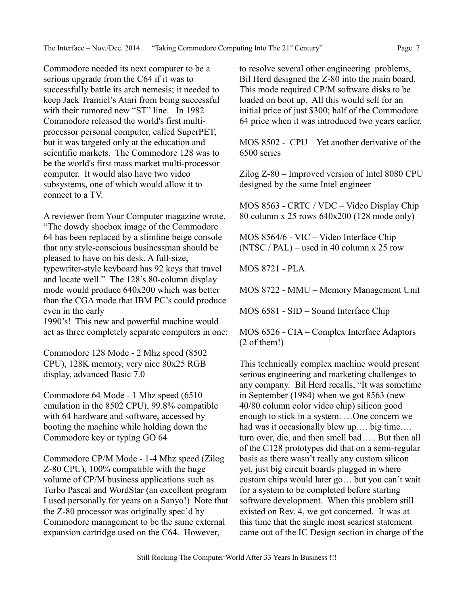Commodore needed its next computer to be a serious upgrade from the C64 if it was to successfully battle its arch nemesis; it needed to keep Jack Tramiel's Atari from being successful with their rumored new "ST" line. In 1982 Commodore released the world's first multiprocessor personal computer, called SuperPET, but it was targeted only at the education and scientific markets. The Commodore 128 was to be the world's first mass market multi-processor computer. It would also have two video subsystems, one of which would allow it to connect to a TV.

A reviewer from Your Computer magazine wrote, "The dowdy shoebox image of the Commodore 64 has been replaced by a slimline beige console that any style-conscious businessman should be pleased to have on his desk. A full-size, typewriter-style keyboard has 92 keys that travel and locate well." The 128's 80-column display mode would produce 640x200 which was better than the CGA mode that IBM PC's could produce even in the early

1990's! This new and powerful machine would act as three completely separate computers in one:

Commodore 128 Mode - 2 Mhz speed (8502 CPU), 128K memory, very nice 80x25 RGB display, advanced Basic 7.0

Commodore 64 Mode - 1 Mhz speed (6510 emulation in the 8502 CPU), 99.8% compatible with 64 hardware and software, accessed by booting the machine while holding down the Commodore key or typing GO 64

Commodore CP/M Mode - 1-4 Mhz speed (Zilog Z-80 CPU), 100% compatible with the huge volume of CP/M business applications such as Turbo Pascal and WordStar (an excellent program I used personally for years on a Sanyo!) Note that the Z-80 processor was originally spec'd by Commodore management to be the same external expansion cartridge used on the C64. However,

to resolve several other engineering problems, Bil Herd designed the Z-80 into the main board. This mode required CP/M software disks to be loaded on boot up. All this would sell for an initial price of just \$300; half of the Commodore 64 price when it was introduced two years earlier.

MOS 8502 - CPU – Yet another derivative of the 6500 series

Zilog Z-80 – Improved version of Intel 8080 CPU designed by the same Intel engineer

MOS 8563 - CRTC / VDC – Video Display Chip 80 column x 25 rows 640x200 (128 mode only)

MOS 8564/6 - VIC – Video Interface Chip  $(NTSC / PAL)$  – used in 40 column x 25 row

MOS 8721 - PLA

MOS 8722 - MMU – Memory Management Unit

MOS 6581 - SID – Sound Interface Chip

MOS 6526 - CIA – Complex Interface Adaptors (2 of them!)

This technically complex machine would present serious engineering and marketing challenges to any company. Bil Herd recalls, "It was sometime in September (1984) when we got 8563 (new 40/80 column color video chip) silicon good enough to stick in a system. …One concern we had was it occasionally blew up…. big time…. turn over, die, and then smell bad….. But then all of the C128 prototypes did that on a semi-regular basis as there wasn't really any custom silicon yet, just big circuit boards plugged in where custom chips would later go… but you can't wait for a system to be completed before starting software development. When this problem still existed on Rev. 4, we got concerned. It was at this time that the single most scariest statement came out of the IC Design section in charge of the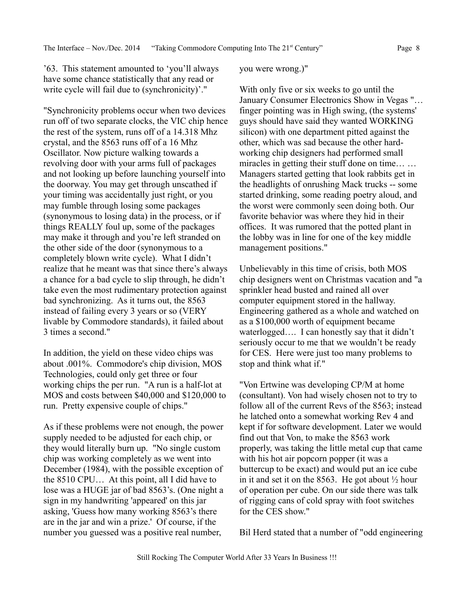'63. This statement amounted to 'you'll always have some chance statistically that any read or write cycle will fail due to (synchronicity)'."

"Synchronicity problems occur when two devices run off of two separate clocks, the VIC chip hence the rest of the system, runs off of a 14.318 Mhz crystal, and the 8563 runs off of a 16 Mhz Oscillator. Now picture walking towards a revolving door with your arms full of packages and not looking up before launching yourself into the doorway. You may get through unscathed if your timing was accidentally just right, or you may fumble through losing some packages (synonymous to losing data) in the process, or if things REALLY foul up, some of the packages may make it through and you're left stranded on the other side of the door (synonymous to a completely blown write cycle). What I didn't realize that he meant was that since there's always a chance for a bad cycle to slip through, he didn't take even the most rudimentary protection against bad synchronizing. As it turns out, the 8563 instead of failing every 3 years or so (VERY livable by Commodore standards), it failed about 3 times a second."

In addition, the yield on these video chips was about .001%. Commodore's chip division, MOS Technologies, could only get three or four working chips the per run. "A run is a half-lot at MOS and costs between \$40,000 and \$120,000 to run. Pretty expensive couple of chips."

As if these problems were not enough, the power supply needed to be adjusted for each chip, or they would literally burn up. "No single custom chip was working completely as we went into December (1984), with the possible exception of the 8510 CPU… At this point, all I did have to lose was a HUGE jar of bad 8563's. (One night a sign in my handwriting 'appeared' on this jar asking, 'Guess how many working 8563's there are in the jar and win a prize.' Of course, if the number you guessed was a positive real number,

#### you were wrong.)"

With only five or six weeks to go until the January Consumer Electronics Show in Vegas "… finger pointing was in High swing, (the systems' guys should have said they wanted WORKING silicon) with one department pitted against the other, which was sad because the other hardworking chip designers had performed small miracles in getting their stuff done on time… … Managers started getting that look rabbits get in the headlights of onrushing Mack trucks -- some started drinking, some reading poetry aloud, and the worst were commonly seen doing both. Our favorite behavior was where they hid in their offices. It was rumored that the potted plant in the lobby was in line for one of the key middle management positions."

Unbelievably in this time of crisis, both MOS chip designers went on Christmas vacation and "a sprinkler head busted and rained all over computer equipment stored in the hallway. Engineering gathered as a whole and watched on as a \$100,000 worth of equipment became waterlogged…. I can honestly say that it didn't seriously occur to me that we wouldn't be ready for CES. Here were just too many problems to stop and think what if."

"Von Ertwine was developing CP/M at home (consultant). Von had wisely chosen not to try to follow all of the current Revs of the 8563; instead he latched onto a somewhat working Rev 4 and kept if for software development. Later we would find out that Von, to make the 8563 work properly, was taking the little metal cup that came with his hot air popcorn popper (it was a buttercup to be exact) and would put an ice cube in it and set it on the 8563. He got about  $\frac{1}{2}$  hour of operation per cube. On our side there was talk of rigging cans of cold spray with foot switches for the CES show."

Bil Herd stated that a number of "odd engineering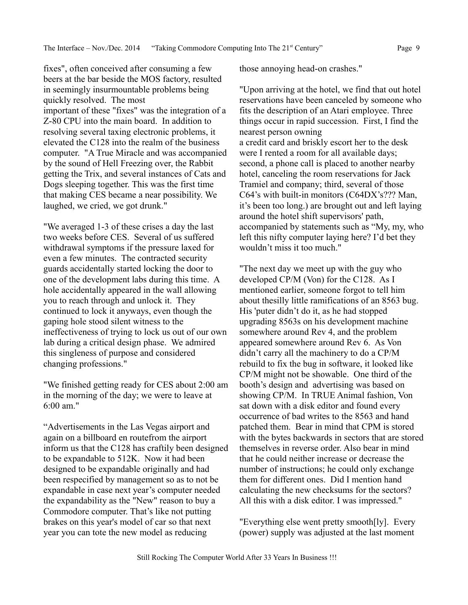fixes", often conceived after consuming a few beers at the bar beside the MOS factory, resulted in seemingly insurmountable problems being quickly resolved. The most important of these "fixes" was the integration of a Z-80 CPU into the main board. In addition to resolving several taxing electronic problems, it elevated the C128 into the realm of the business computer. "A True Miracle and was accompanied by the sound of Hell Freezing over, the Rabbit getting the Trix, and several instances of Cats and Dogs sleeping together. This was the first time that making CES became a near possibility. We laughed, we cried, we got drunk."

"We averaged 1-3 of these crises a day the last two weeks before CES. Several of us suffered withdrawal symptoms if the pressure laxed for even a few minutes. The contracted security guards accidentally started locking the door to one of the development labs during this time. A hole accidentally appeared in the wall allowing you to reach through and unlock it. They continued to lock it anyways, even though the gaping hole stood silent witness to the ineffectiveness of trying to lock us out of our own lab during a critical design phase. We admired this singleness of purpose and considered changing professions."

"We finished getting ready for CES about 2:00 am in the morning of the day; we were to leave at 6:00 am."

"Advertisements in the Las Vegas airport and again on a billboard en routefrom the airport inform us that the C128 has craftily been designed to be expandable to 512K. Now it had been designed to be expandable originally and had been respecified by management so as to not be expandable in case next year's computer needed the expandability as the "New" reason to buy a Commodore computer. That's like not putting brakes on this year's model of car so that next year you can tote the new model as reducing

those annoying head-on crashes."

"Upon arriving at the hotel, we find that out hotel reservations have been canceled by someone who fits the description of an Atari employee. Three things occur in rapid succession. First, I find the nearest person owning a credit card and briskly escort her to the desk were I rented a room for all available days; second, a phone call is placed to another nearby hotel, canceling the room reservations for Jack Tramiel and company; third, several of those C64's with built-in monitors (C64DX's??? Man, it's been too long.) are brought out and left laying around the hotel shift supervisors' path, accompanied by statements such as "My, my, who left this nifty computer laying here? I'd bet they wouldn't miss it too much."

"The next day we meet up with the guy who developed CP/M (Von) for the C128. As I mentioned earlier, someone forgot to tell him about thesilly little ramifications of an 8563 bug. His 'puter didn't do it, as he had stopped upgrading 8563s on his development machine somewhere around Rev 4, and the problem appeared somewhere around Rev 6. As Von didn't carry all the machinery to do a CP/M rebuild to fix the bug in software, it looked like CP/M might not be showable. One third of the booth's design and advertising was based on showing CP/M. In TRUE Animal fashion, Von sat down with a disk editor and found every occurrence of bad writes to the 8563 and hand patched them. Bear in mind that CPM is stored with the bytes backwards in sectors that are stored themselves in reverse order. Also bear in mind that he could neither increase or decrease the number of instructions; he could only exchange them for different ones. Did I mention hand calculating the new checksums for the sectors? All this with a disk editor. I was impressed."

"Everything else went pretty smooth[ly]. Every (power) supply was adjusted at the last moment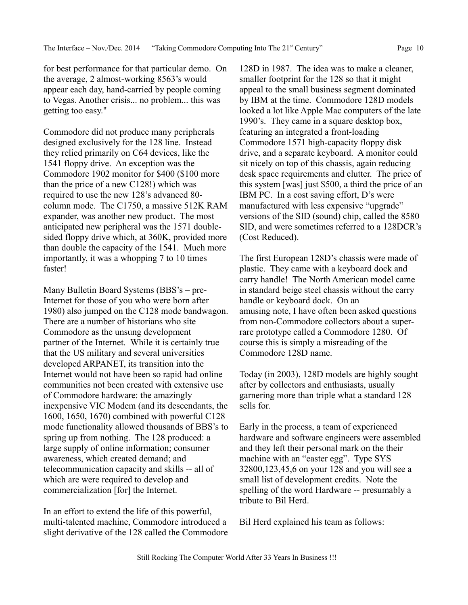for best performance for that particular demo. On the average, 2 almost-working 8563's would appear each day, hand-carried by people coming to Vegas. Another crisis... no problem... this was getting too easy."

Commodore did not produce many peripherals designed exclusively for the 128 line. Instead they relied primarily on C64 devices, like the 1541 floppy drive. An exception was the Commodore 1902 monitor for \$400 (\$100 more than the price of a new C128!) which was required to use the new 128's advanced 80 column mode. The C1750, a massive 512K RAM expander, was another new product. The most anticipated new peripheral was the 1571 doublesided floppy drive which, at 360K, provided more than double the capacity of the 1541. Much more importantly, it was a whopping 7 to 10 times faster!

Many Bulletin Board Systems (BBS's – pre-Internet for those of you who were born after 1980) also jumped on the C128 mode bandwagon. There are a number of historians who site Commodore as the unsung development partner of the Internet. While it is certainly true that the US military and several universities developed ARPANET, its transition into the Internet would not have been so rapid had online communities not been created with extensive use of Commodore hardware: the amazingly inexpensive VIC Modem (and its descendants, the 1600, 1650, 1670) combined with powerful C128 mode functionality allowed thousands of BBS's to spring up from nothing. The 128 produced: a large supply of online information; consumer awareness, which created demand; and telecommunication capacity and skills -- all of which are were required to develop and commercialization [for] the Internet.

In an effort to extend the life of this powerful, multi-talented machine, Commodore introduced a slight derivative of the 128 called the Commodore

128D in 1987. The idea was to make a cleaner, smaller footprint for the 128 so that it might appeal to the small business segment dominated by IBM at the time. Commodore 128D models looked a lot like Apple Mac computers of the late 1990's. They came in a square desktop box, featuring an integrated a front-loading Commodore 1571 high-capacity floppy disk drive, and a separate keyboard. A monitor could sit nicely on top of this chassis, again reducing desk space requirements and clutter. The price of this system [was] just \$500, a third the price of an IBM PC. In a cost saving effort, D's were manufactured with less expensive "upgrade" versions of the SID (sound) chip, called the 8580 SID, and were sometimes referred to a 128DCR's (Cost Reduced).

The first European 128D's chassis were made of plastic. They came with a keyboard dock and carry handle! The North American model came in standard beige steel chassis without the carry handle or keyboard dock. On an amusing note, I have often been asked questions from non-Commodore collectors about a superrare prototype called a Commodore 1280. Of course this is simply a misreading of the Commodore 128D name.

Today (in 2003), 128D models are highly sought after by collectors and enthusiasts, usually garnering more than triple what a standard 128 sells for.

Early in the process, a team of experienced hardware and software engineers were assembled and they left their personal mark on the their machine with an "easter egg". Type SYS 32800,123,45,6 on your 128 and you will see a small list of development credits. Note the spelling of the word Hardware -- presumably a tribute to Bil Herd.

Bil Herd explained his team as follows: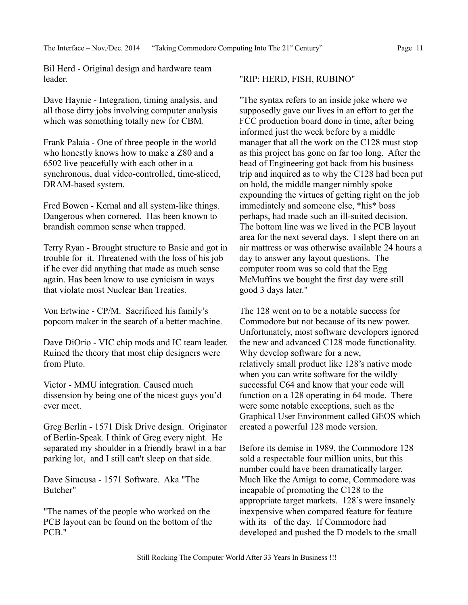Bil Herd - Original design and hardware team leader.

Dave Haynie - Integration, timing analysis, and all those dirty jobs involving computer analysis which was something totally new for CBM.

Frank Palaia - One of three people in the world who honestly knows how to make a Z80 and a 6502 live peacefully with each other in a synchronous, dual video-controlled, time-sliced, DRAM-based system.

Fred Bowen - Kernal and all system-like things. Dangerous when cornered. Has been known to brandish common sense when trapped.

Terry Ryan - Brought structure to Basic and got in trouble for it. Threatened with the loss of his job if he ever did anything that made as much sense again. Has been know to use cynicism in ways that violate most Nuclear Ban Treaties.

Von Ertwine - CP/M. Sacrificed his family's popcorn maker in the search of a better machine.

Dave DiOrio - VIC chip mods and IC team leader. Ruined the theory that most chip designers were from Pluto.

Victor - MMU integration. Caused much dissension by being one of the nicest guys you'd ever meet.

Greg Berlin - 1571 Disk Drive design. Originator of Berlin-Speak. I think of Greg every night. He separated my shoulder in a friendly brawl in a bar parking lot, and I still can't sleep on that side.

Dave Siracusa - 1571 Software. Aka "The Butcher"

"The names of the people who worked on the PCB layout can be found on the bottom of the PCB."

#### "RIP: HERD, FISH, RUBINO"

"The syntax refers to an inside joke where we supposedly gave our lives in an effort to get the FCC production board done in time, after being informed just the week before by a middle manager that all the work on the C128 must stop as this project has gone on far too long. After the head of Engineering got back from his business trip and inquired as to why the C128 had been put on hold, the middle manger nimbly spoke expounding the virtues of getting right on the job immediately and someone else, \*his\* boss perhaps, had made such an ill-suited decision. The bottom line was we lived in the PCB layout area for the next several days. I slept there on an air mattress or was otherwise available 24 hours a day to answer any layout questions. The computer room was so cold that the Egg McMuffins we bought the first day were still good 3 days later."

The 128 went on to be a notable success for Commodore but not because of its new power. Unfortunately, most software developers ignored the new and advanced C128 mode functionality. Why develop software for a new, relatively small product like 128's native mode when you can write software for the wildly successful C64 and know that your code will function on a 128 operating in 64 mode. There were some notable exceptions, such as the Graphical User Environment called GEOS which created a powerful 128 mode version.

Before its demise in 1989, the Commodore 128 sold a respectable four million units, but this number could have been dramatically larger. Much like the Amiga to come, Commodore was incapable of promoting the C128 to the appropriate target markets. 128's were insanely inexpensive when compared feature for feature with its of the day. If Commodore had developed and pushed the D models to the small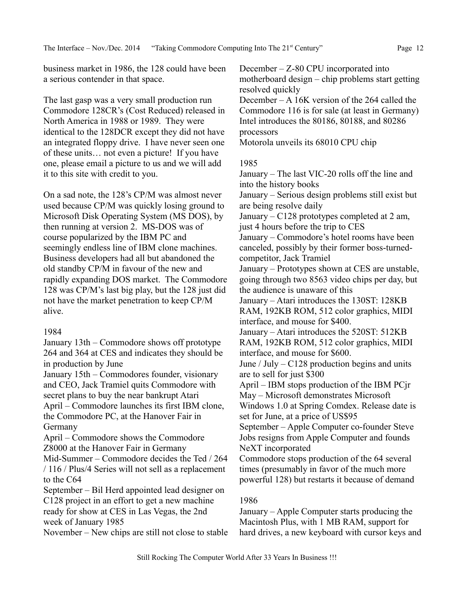business market in 1986, the 128 could have been a serious contender in that space.

The last gasp was a very small production run Commodore 128CR's (Cost Reduced) released in North America in 1988 or 1989. They were identical to the 128DCR except they did not have an integrated floppy drive. I have never seen one of these units… not even a picture! If you have one, please email a picture to us and we will add it to this site with credit to you.

On a sad note, the 128's CP/M was almost never used because CP/M was quickly losing ground to Microsoft Disk Operating System (MS DOS), by then running at version 2. MS-DOS was of course popularized by the IBM PC and seemingly endless line of IBM clone machines. Business developers had all but abandoned the old standby CP/M in favour of the new and rapidly expanding DOS market. The Commodore 128 was CP/M's last big play, but the 128 just did not have the market penetration to keep CP/M alive.

## 1984

January 13th – Commodore shows off prototype 264 and 364 at CES and indicates they should be in production by June

January 15th – Commodores founder, visionary and CEO, Jack Tramiel quits Commodore with secret plans to buy the near bankrupt Atari April – Commodore launches its first IBM clone, the Commodore PC, at the Hanover Fair in Germany

April – Commodore shows the Commodore Z8000 at the Hanover Fair in Germany

Mid-Summer – Commodore decides the Ted / 264 / 116 / Plus/4 Series will not sell as a replacement to the C64

September – Bil Herd appointed lead designer on C128 project in an effort to get a new machine ready for show at CES in Las Vegas, the 2nd week of January 1985

November – New chips are still not close to stable

December – Z-80 CPU incorporated into motherboard design – chip problems start getting resolved quickly

December – A 16K version of the 264 called the Commodore 116 is for sale (at least in Germany) Intel introduces the 80186, 80188, and 80286 processors

Motorola unveils its 68010 CPU chip

#### 1985

January – The last VIC-20 rolls off the line and into the history books

January – Serious design problems still exist but are being resolve daily

January – C128 prototypes completed at 2 am, just 4 hours before the trip to CES

January – Commodore's hotel rooms have been canceled, possibly by their former boss-turnedcompetitor, Jack Tramiel

January – Prototypes shown at CES are unstable, going through two 8563 video chips per day, but the audience is unaware of this

January – Atari introduces the 130ST: 128KB RAM, 192KB ROM, 512 color graphics, MIDI interface, and mouse for \$400.

January – Atari introduces the 520ST: 512KB RAM, 192KB ROM, 512 color graphics, MIDI interface, and mouse for \$600.

June / July –  $C128$  production begins and units are to sell for just \$300

April – IBM stops production of the IBM PCjr May – Microsoft demonstrates Microsoft

Windows 1.0 at Spring Comdex. Release date is set for June, at a price of US\$95

September – Apple Computer co-founder Steve Jobs resigns from Apple Computer and founds NeXT incorporated

Commodore stops production of the 64 several times (presumably in favor of the much more powerful 128) but restarts it because of demand

# 1986

January – Apple Computer starts producing the Macintosh Plus, with 1 MB RAM, support for hard drives, a new keyboard with cursor keys and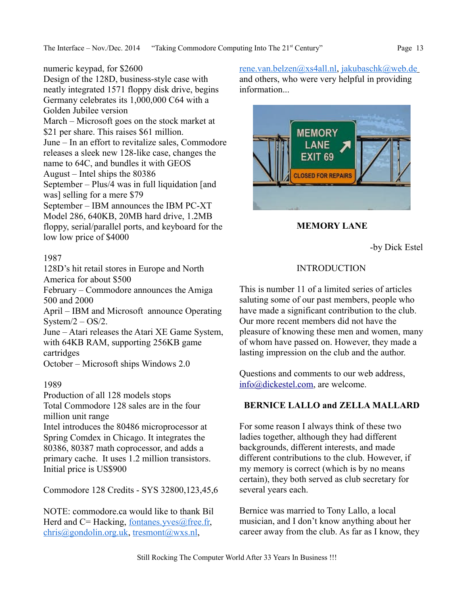Design of the 128D, business-style case with neatly integrated 1571 floppy disk drive, begins Germany celebrates its 1,000,000 C64 with a Golden Jubilee version March – Microsoft goes on the stock market at \$21 per share. This raises \$61 million. June – In an effort to revitalize sales, Commodore releases a sleek new 128-like case, changes the name to 64C, and bundles it with GEOS August – Intel ships the 80386 September – Plus/4 was in full liquidation [and was] selling for a mere \$79 September – IBM announces the IBM PC-XT Model 286, 640KB, 20MB hard drive, 1.2MB floppy, serial/parallel ports, and keyboard for the low low price of \$4000

## 1987

128D's hit retail stores in Europe and North America for about \$500

February – Commodore announces the Amiga 500 and 2000

April – IBM and Microsoft announce Operating System $/2 - OS/2$ .

June – Atari releases the Atari XE Game System, with 64KB RAM, supporting 256KB game cartridges

October – Microsoft ships Windows 2.0

## 1989

Production of all 128 models stops Total Commodore 128 sales are in the four million unit range

Intel introduces the 80486 microprocessor at Spring Comdex in Chicago. It integrates the 80386, 80387 math coprocessor, and adds a primary cache. It uses 1.2 million transistors. Initial price is US\$900

Commodore 128 Credits - SYS 32800,123,45,6

NOTE: commodore.ca would like to thank Bil Herd and  $C=$  Hacking, fontanes.  $yves@$  free. fr, [chris@gondolin.org.uk,](mailto:chris@gondolin.org.uk) [tresmont@wxs.nl,](mailto:tresmont@wxs.nl)

[rene.van.belzen@xs4all.nl,](mailto:rene.van.belzen@xs4all.nl) [jakubaschk@web.de](mailto:jakubaschk@web.de) and others, who were very helpful in providing information...



**MEMORY LANE**

-by Dick Estel

## INTRODUCTION

This is number 11 of a limited series of articles saluting some of our past members, people who have made a significant contribution to the club. Our more recent members did not have the pleasure of knowing these men and women, many of whom have passed on. However, they made a lasting impression on the club and the author.

Questions and comments to our web address, [info@dickestel.com,](mailto:info@dickestel.com) are welcome.

## **BERNICE LALLO and ZELLA MALLARD**

For some reason I always think of these two ladies together, although they had different backgrounds, different interests, and made different contributions to the club. However, if my memory is correct (which is by no means certain), they both served as club secretary for several years each.

Bernice was married to Tony Lallo, a local musician, and I don't know anything about her career away from the club. As far as I know, they